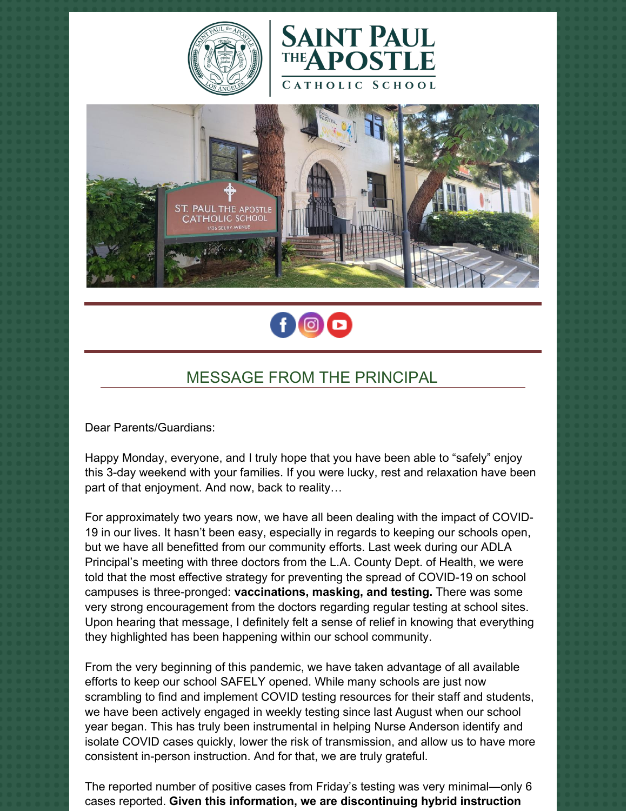







# MESSAGE FROM THE PRINCIPAL

Dear Parents/Guardians:

Happy Monday, everyone, and I truly hope that you have been able to "safely" enjoy this 3-day weekend with your families. If you were lucky, rest and relaxation have been part of that enjoyment. And now, back to reality…

For approximately two years now, we have all been dealing with the impact of COVID-19 in our lives. It hasn't been easy, especially in regards to keeping our schools open, but we have all benefitted from our community efforts. Last week during our ADLA Principal's meeting with three doctors from the L.A. County Dept. of Health, we were told that the most effective strategy for preventing the spread of COVID-19 on school campuses is three-pronged: **vaccinations, masking, and testing.** There was some very strong encouragement from the doctors regarding regular testing at school sites. Upon hearing that message, I definitely felt a sense of relief in knowing that everything they highlighted has been happening within our school community.

From the very beginning of this pandemic, we have taken advantage of all available efforts to keep our school SAFELY opened. While many schools are just now scrambling to find and implement COVID testing resources for their staff and students, we have been actively engaged in weekly testing since last August when our school year began. This has truly been instrumental in helping Nurse Anderson identify and isolate COVID cases quickly, lower the risk of transmission, and allow us to have more consistent in-person instruction. And for that, we are truly grateful.

The reported number of positive cases from Friday's testing was very minimal—only 6 cases reported. **Given this information, we are discontinuing hybrid instruction**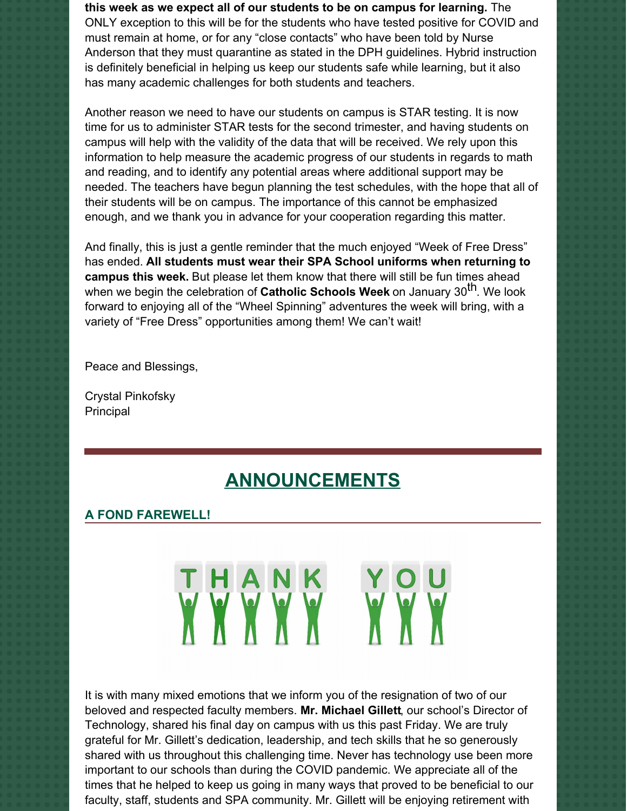**this week as we expect all of our students to be on campus for learning.** The ONLY exception to this will be for the students who have tested positive for COVID and must remain at home, or for any "close contacts" who have been told by Nurse Anderson that they must quarantine as stated in the DPH guidelines. Hybrid instruction is definitely beneficial in helping us keep our students safe while learning, but it also has many academic challenges for both students and teachers.

Another reason we need to have our students on campus is STAR testing. It is now time for us to administer STAR tests for the second trimester, and having students on campus will help with the validity of the data that will be received. We rely upon this information to help measure the academic progress of our students in regards to math and reading, and to identify any potential areas where additional support may be needed. The teachers have begun planning the test schedules, with the hope that all of their students will be on campus. The importance of this cannot be emphasized enough, and we thank you in advance for your cooperation regarding this matter.

And finally, this is just a gentle reminder that the much enjoyed "Week of Free Dress" has ended. **All students must wear their SPA School uniforms when returning to campus this week.** But please let them know that there will still be fun times ahead when we begin the celebration of **Catholic Schools Week** on January 30 th. We look forward to enjoying all of the "Wheel Spinning" adventures the week will bring, with a variety of "Free Dress" opportunities among them! We can't wait!

Peace and Blessings,

Crystal Pinkofsky Principal

# **ANNOUNCEMENTS**

THANK YOU

#### **A FOND FAREWELL!**

It is with many mixed emotions that we inform you of the resignation of two of our beloved and respected faculty members. **Mr. Michael Gillett**, our school's Director of Technology, shared his final day on campus with us this past Friday. We are truly grateful for Mr. Gillett's dedication, leadership, and tech skills that he so generously shared with us throughout this challenging time. Never has technology use been more important to our schools than during the COVID pandemic. We appreciate all of the times that he helped to keep us going in many ways that proved to be beneficial to our faculty, staff, students and SPA community. Mr. Gillett will be enjoying retirement with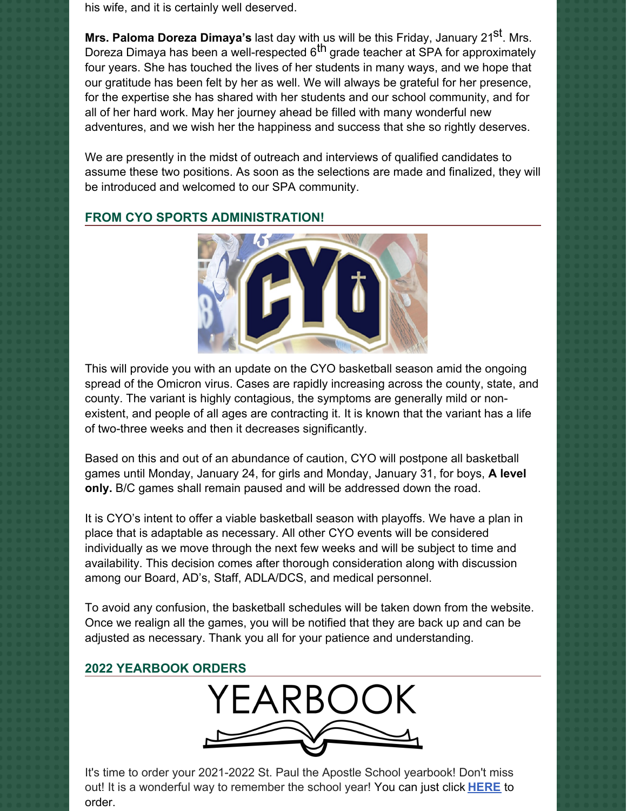his wife, and it is certainly well deserved.

**Mrs. Paloma Doreza Dimaya's** last day with us will be this Friday, January 21<sup>st</sup>. Mrs. Doreza Dimaya has been a well-respected 6<sup>th</sup> grade teacher at SPA for approximately four years. She has touched the lives of her students in many ways, and we hope that our gratitude has been felt by her as well. We will always be grateful for her presence, for the expertise she has shared with her students and our school community, and for all of her hard work. May her journey ahead be filled with many wonderful new adventures, and we wish her the happiness and success that she so rightly deserves.

We are presently in the midst of outreach and interviews of qualified candidates to assume these two positions. As soon as the selections are made and finalized, they will be introduced and welcomed to our SPA community.



# **FROM CYO SPORTS ADMINISTRATION!**

This will provide you with an update on the CYO basketball season amid the ongoing spread of the Omicron virus. Cases are rapidly increasing across the county, state, and county. The variant is highly contagious, the symptoms are generally mild or nonexistent, and people of all ages are contracting it. It is known that the variant has a life of two-three weeks and then it decreases significantly.

Based on this and out of an abundance of caution, CYO will postpone all basketball games until Monday, January 24, for girls and Monday, January 31, for boys, **A level only.** B/C games shall remain paused and will be addressed down the road.

It is CYO's intent to offer a viable basketball season with playoffs. We have a plan in place that is adaptable as necessary. All other CYO events will be considered individually as we move through the next few weeks and will be subject to time and availability. This decision comes after thorough consideration along with discussion among our Board, AD's, Staff, ADLA/DCS, and medical personnel.

To avoid any confusion, the basketball schedules will be taken down from the website. Once we realign all the games, you will be notified that they are back up and can be adjusted as necessary. Thank you all for your patience and understanding.

# **2022 YEARBOOK ORDERS**



It's time to order your 2021-2022 St. Paul the Apostle School yearbook! Don't miss out! It is a wonderful way to remember the school year! You can just click **[HERE](https://www.prestoregister.com/cgi-bin/order.pl?ref=spapostle_school&fm=3)** to order.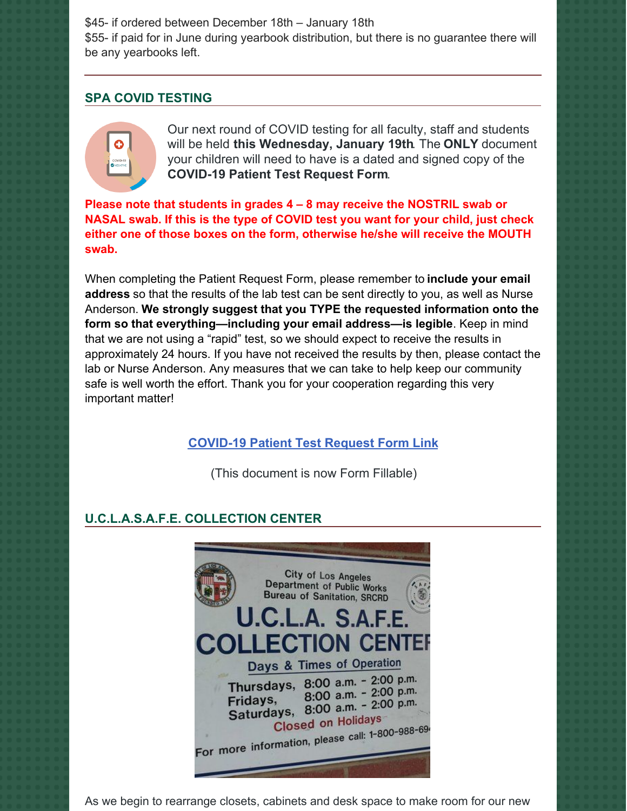\$45- if ordered between December 18th – January 18th

\$55- if paid for in June during yearbook distribution, but there is no guarantee there will be any yearbooks left.

# **SPA COVID TESTING**



Our next round of COVID testing for all faculty, staff and students will be held **this Wednesday, January 19th**. The **ONLY** document your children will need to have is a dated and signed copy of the **COVID-19 Patient Test Request Form**.

**Please note that students in grades 4 – 8 may receive the NOSTRIL swab or NASAL swab. If this is the type of COVID test you want for your child, just check either one of those boxes on the form, otherwise he/she will receive the MOUTH swab.**

When completing the Patient Request Form, please remember to **include your email address** so that the results of the lab test can be sent directly to you, as well as Nurse Anderson. **We strongly suggest that you TYPE the requested information onto the form so that everything—including your email address—is legible**. Keep in mind that we are not using a "rapid" test, so we should expect to receive the results in approximately 24 hours. If you have not received the results by then, please contact the lab or Nurse Anderson. Any measures that we can take to help keep our community safe is well worth the effort. Thank you for your cooperation regarding this very important matter!

# **[COVID-19](https://school.sp-apostle.org/wp-content/uploads/2021/11/PATIENT-REQ-FORM-FILLABLE.pdf) Patient Test Request Form Link**

(This document is now Form Fillable)

# **U.C.L.A.S.A.F.E. COLLECTION CENTER**



As we begin to rearrange closets, cabinets and desk space to make room for our new